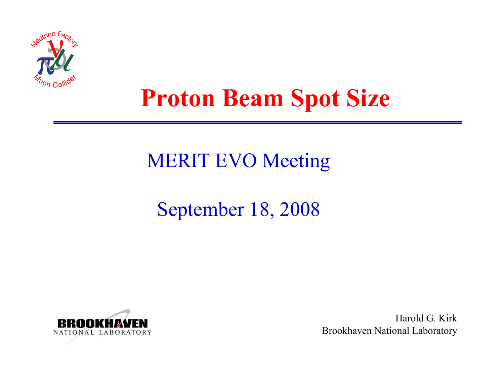

## **Proton Beam Spot Size**

### MERIT EVO Meeting

### September 18, 2008



Harold G. KirkBrookhaven National Laboratory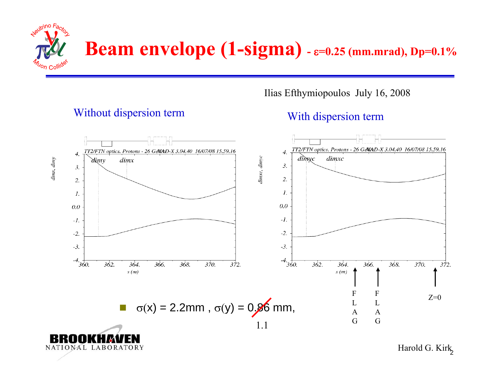

NATIONAL LABORATORY

Ilias Efthymiopoulos July 16, 2008

#### Without dispersion term<br>With dispersion term



Harold G. Kirk<sub>2</sub>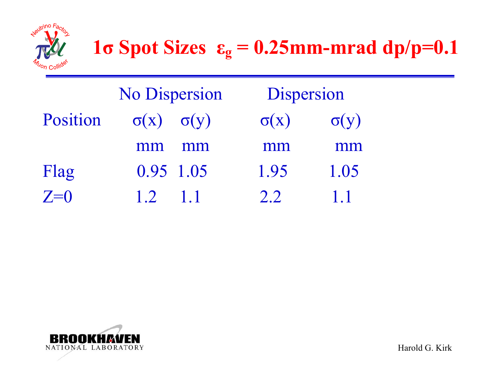

|          | <b>No Dispersion</b>        |     | Dispersion  |             |
|----------|-----------------------------|-----|-------------|-------------|
| Position | $\sigma(x) \quad \sigma(y)$ |     | $\sigma(x)$ | $\sigma(y)$ |
|          | mm                          | mm  | mm          | mm          |
| Flag     | 0.95 1.05                   |     | 1.95        | 1.05        |
| $Z=0$    | $\overline{1}$ 2            | 1.1 | 2.2         | 1.1         |

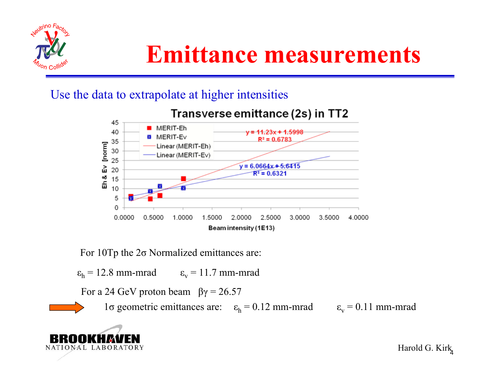

#### Use the data to extrapolate at higher intensities



#### Transverse emittance (2s) in TT2

For 10Tp the 2 σ Normalized emittances are:

 $\varepsilon_{\rm h}$  = 12.8 mm-mrad  $\varepsilon_{\rm v}$  = 11.7 mm-mrad

For a 24 GeV proton beam  $\beta$ γ = 26.57

l  $\sigma$  geometric emittances are:  $\varepsilon_h = 0.12$  mm-mrad  $\varepsilon_v = 0.11$  mm-mrad



Harold G. Kirk 4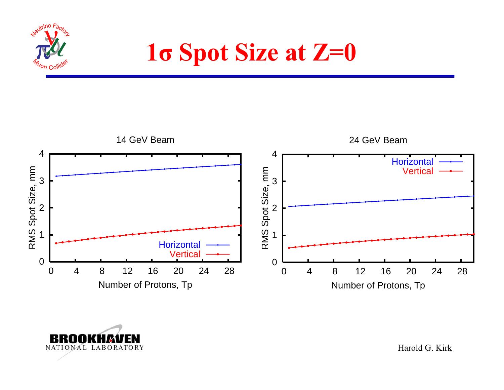

**1σ Spot Size at Z=0**





Harold G. Kirk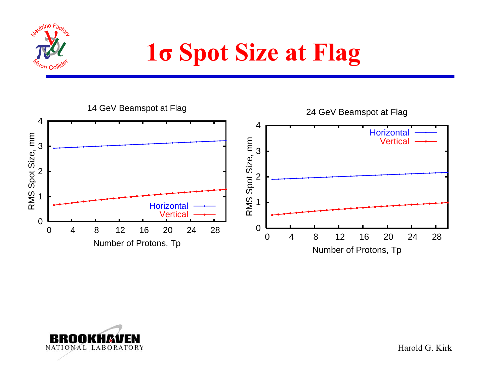

# **1σ Spot Size at Flag**





Harold G. Kirk